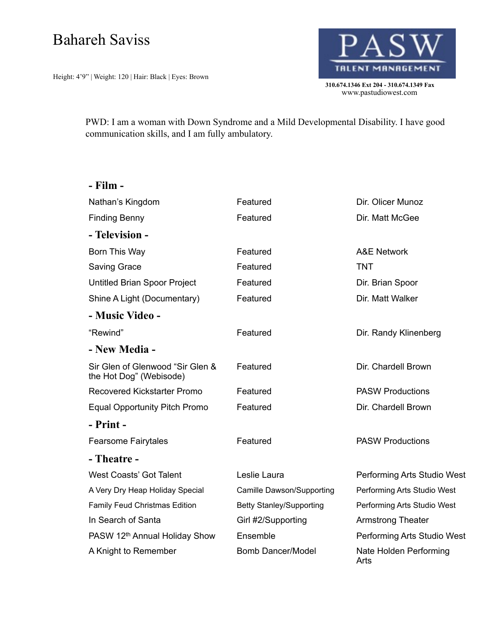## Bahareh Saviss

Height: 4'9" | Weight: 120 | Hair: Black | Eyes: Brown



PWD: I am a woman with Down Syndrome and a Mild Developmental Disability. I have good communication skills, and I am fully ambulatory.

| - Film -                                                    |                                 |                                |
|-------------------------------------------------------------|---------------------------------|--------------------------------|
| Nathan's Kingdom                                            | Featured                        | Dir. Olicer Munoz              |
| <b>Finding Benny</b>                                        | Featured                        | Dir. Matt McGee                |
| - Television -                                              |                                 |                                |
| Born This Way                                               | Featured                        | <b>A&amp;E Network</b>         |
| <b>Saving Grace</b>                                         | Featured                        | <b>TNT</b>                     |
| Untitled Brian Spoor Project                                | Featured                        | Dir. Brian Spoor               |
| Shine A Light (Documentary)                                 | Featured                        | Dir. Matt Walker               |
| - Music Video -                                             |                                 |                                |
| "Rewind"                                                    | Featured                        | Dir. Randy Klinenberg          |
| - New Media -                                               |                                 |                                |
| Sir Glen of Glenwood "Sir Glen &<br>the Hot Dog" (Webisode) | Featured                        | Dir. Chardell Brown            |
| <b>Recovered Kickstarter Promo</b>                          | Featured                        | <b>PASW Productions</b>        |
| <b>Equal Opportunity Pitch Promo</b>                        | Featured                        | Dir. Chardell Brown            |
| - Print -                                                   |                                 |                                |
| <b>Fearsome Fairytales</b>                                  | Featured                        | <b>PASW Productions</b>        |
| - Theatre -                                                 |                                 |                                |
| <b>West Coasts' Got Talent</b>                              | Leslie Laura                    | Performing Arts Studio West    |
| A Very Dry Heap Holiday Special                             | Camille Dawson/Supporting       | Performing Arts Studio West    |
| <b>Family Feud Christmas Edition</b>                        | <b>Betty Stanley/Supporting</b> | Performing Arts Studio West    |
| In Search of Santa                                          | Girl #2/Supporting              | <b>Armstrong Theater</b>       |
| PASW 12th Annual Holiday Show                               | Ensemble                        | Performing Arts Studio West    |
| A Knight to Remember                                        | <b>Bomb Dancer/Model</b>        | Nate Holden Performing<br>Arts |